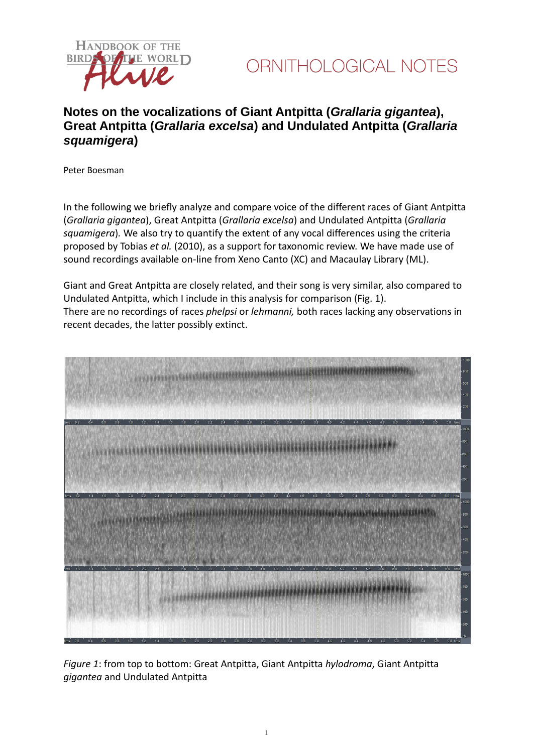



### **Notes on the vocalizations of Giant Antpitta (***Grallaria gigantea***), Great Antpitta (***Grallaria excelsa***) and Undulated Antpitta (***Grallaria squamigera***)**

Peter Boesman

In the following we briefly analyze and compare voice of the different races of Giant Antpitta (*Grallaria gigantea*), Great Antpitta (*Grallaria excelsa*) and Undulated Antpitta (*Grallaria squamigera*)*.* We also try to quantify the extent of any vocal differences using the criteria proposed by Tobias *et al.* (2010), as a support for taxonomic review. We have made use of sound recordings available on-line from Xeno Canto (XC) and Macaulay Library (ML).

Giant and Great Antpitta are closely related, and their song is very similar, also compared to Undulated Antpitta, which I include in this analysis for comparison (Fig. 1). There are no recordings of races *phelpsi* or *lehmanni,* both races lacking any observations in recent decades, the latter possibly extinct.



*Figure 1*: from top to bottom: Great Antpitta, Giant Antpitta *hylodroma*, Giant Antpitta *gigantea* and Undulated Antpitta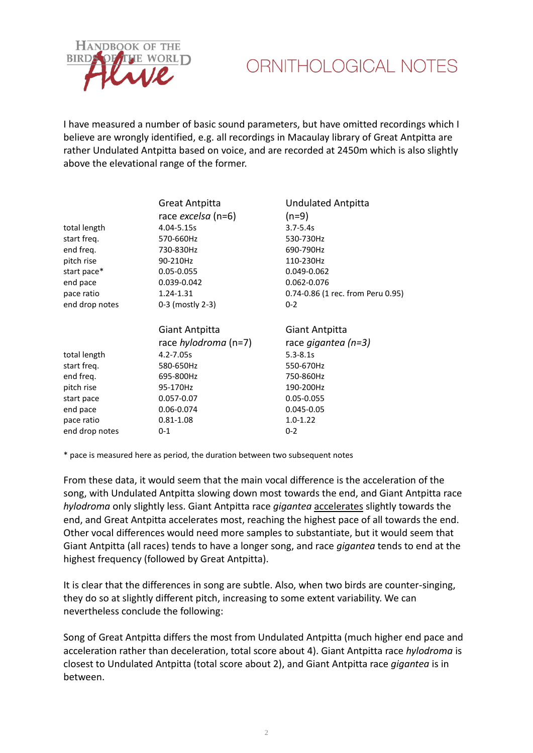

## ORNITHOLOGICAL NOTES

I have measured a number of basic sound parameters, but have omitted recordings which I believe are wrongly identified, e.g. all recordings in Macaulay library of Great Antpitta are rather Undulated Antpitta based on voice, and are recorded at 2450m which is also slightly above the elevational range of the former.

|                | Great Antpitta              | <b>Undulated Antpitta</b>         |
|----------------|-----------------------------|-----------------------------------|
|                | race <i>excelsa</i> (n=6)   | $(n=9)$                           |
| total length   | 4.04-5.15s                  | $3.7 - 5.4s$                      |
| start freq.    | 570-660Hz                   | 530-730Hz                         |
| end freq.      | 730-830Hz                   | 690-790Hz                         |
| pitch rise     | 90-210Hz                    | 110-230Hz                         |
| start pace*    | 0.05-0.055                  | 0.049-0.062                       |
| end pace       | 0.039-0.042                 | 0.062-0.076                       |
| pace ratio     | 1.24-1.31                   | 0.74-0.86 (1 rec. from Peru 0.95) |
| end drop notes | 0-3 (mostly 2-3)            | $0 - 2$                           |
|                | Giant Antpitta              | Giant Antpitta                    |
|                | race <i>hylodroma</i> (n=7) | race gigantea (n=3)               |
| total length   | 4.2-7.05s                   | $5.3 - 8.1s$                      |
| start freq.    | 580-650Hz                   | 550-670Hz                         |
| end freq.      | 695-800Hz                   | 750-860Hz                         |
| pitch rise     | 95-170Hz                    | 190-200Hz                         |
| start pace     | 0.057-0.07                  | 0.05-0.055                        |
| end pace       | 0.06-0.074                  | 0.045-0.05                        |
| pace ratio     | $0.81 - 1.08$               | $1.0 - 1.22$                      |
| end drop notes | $0 - 1$                     | $0 - 2$                           |

\* pace is measured here as period, the duration between two subsequent notes

From these data, it would seem that the main vocal difference is the acceleration of the song, with Undulated Antpitta slowing down most towards the end, and Giant Antpitta race *hylodroma* only slightly less. Giant Antpitta race *gigantea* accelerates slightly towards the end, and Great Antpitta accelerates most, reaching the highest pace of all towards the end. Other vocal differences would need more samples to substantiate, but it would seem that Giant Antpitta (all races) tends to have a longer song, and race *gigantea* tends to end at the highest frequency (followed by Great Antpitta).

It is clear that the differences in song are subtle. Also, when two birds are counter-singing, they do so at slightly different pitch, increasing to some extent variability. We can nevertheless conclude the following:

Song of Great Antpitta differs the most from Undulated Antpitta (much higher end pace and acceleration rather than deceleration, total score about 4). Giant Antpitta race *hylodroma* is closest to Undulated Antpitta (total score about 2), and Giant Antpitta race *gigantea* is in between.